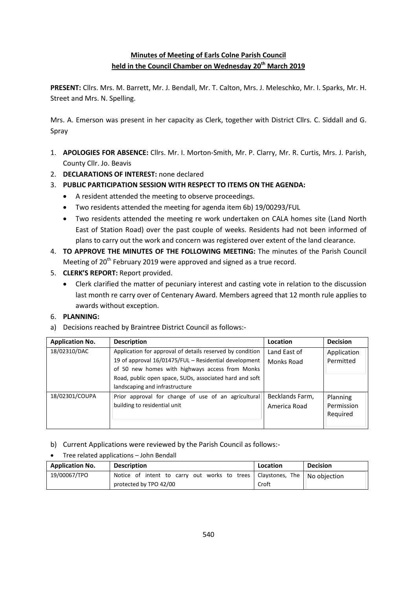## **Minutes of Meeting of Earls Colne Parish Council held in the Council Chamber on Wednesday 20th March 2019**

**PRESENT:** Cllrs. Mrs. M. Barrett, Mr. J. Bendall, Mr. T. Calton, Mrs. J. Meleschko, Mr. I. Sparks, Mr. H. Street and Mrs. N. Spelling.

Mrs. A. Emerson was present in her capacity as Clerk, together with District Cllrs. C. Siddall and G. Spray

- 1. **APOLOGIES FOR ABSENCE:** Cllrs. Mr. I. Morton-Smith, Mr. P. Clarry, Mr. R. Curtis, Mrs. J. Parish, County Cllr. Jo. Beavis
- 2. **DECLARATIONS OF INTEREST:** none declared
- 3. **PUBLIC PARTICIPATION SESSION WITH RESPECT TO ITEMS ON THE AGENDA:**
	- A resident attended the meeting to observe proceedings.
	- Two residents attended the meeting for agenda item 6b) 19/00293/FUL
	- Two residents attended the meeting re work undertaken on CALA homes site (Land North East of Station Road) over the past couple of weeks. Residents had not been informed of plans to carry out the work and concern was registered over extent of the land clearance.
- 4. **TO APPROVE THE MINUTES OF THE FOLLOWING MEETING:** The minutes of the Parish Council Meeting of 20<sup>th</sup> February 2019 were approved and signed as a true record.
- 5. **CLERK'S REPORT:** Report provided.
	- Clerk clarified the matter of pecuniary interest and casting vote in relation to the discussion last month re carry over of Centenary Award. Members agreed that 12 month rule applies to awards without exception.

### 6. **PLANNING:**

a) Decisions reached by Braintree District Council as follows:-

| <b>Application No.</b> | <b>Description</b>                                                                                                                                                                                                                                                 | Location                        | <b>Decision</b>                    |
|------------------------|--------------------------------------------------------------------------------------------------------------------------------------------------------------------------------------------------------------------------------------------------------------------|---------------------------------|------------------------------------|
| 18/02310/DAC           | Application for approval of details reserved by condition<br>19 of approval 16/01475/FUL - Residential development<br>of 50 new homes with highways access from Monks<br>Road, public open space, SUDs, associated hard and soft<br>landscaping and infrastructure | Land East of<br>Monks Road      | Application<br>Permitted           |
| 18/02301/COUPA         | Prior approval for change of use of an agricultural<br>building to residential unit                                                                                                                                                                                | Becklands Farm,<br>America Road | Planning<br>Permission<br>Reguired |

- b) Current Applications were reviewed by the Parish Council as follows:-
- Tree related applications John Bendall

| <b>Application No.</b> | <b>Description</b>                           | Location        | <b>Decision</b> |
|------------------------|----------------------------------------------|-----------------|-----------------|
| 19/00067/TPO           | Notice of intent to carry out works to trees | Clavstones. The | No obiection    |
|                        | protected by TPO 42/00                       | Croft           |                 |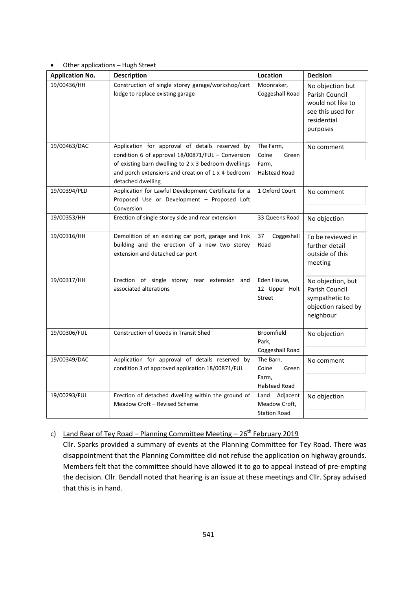#### Other applications – Hugh Street

| <b>Application No.</b> | <b>Description</b>                                                                                                                                                                                                                      | Location                                                     | <b>Decision</b>                                                                                         |
|------------------------|-----------------------------------------------------------------------------------------------------------------------------------------------------------------------------------------------------------------------------------------|--------------------------------------------------------------|---------------------------------------------------------------------------------------------------------|
| 19/00436/HH            | Construction of single storey garage/workshop/cart<br>lodge to replace existing garage                                                                                                                                                  | Moonraker,<br>Coggeshall Road                                | No objection but<br>Parish Council<br>would not like to<br>see this used for<br>residential<br>purposes |
| 19/00463/DAC           | Application for approval of details reserved by<br>condition 6 of approval 18/00871/FUL - Conversion<br>of existing barn dwelling to 2 x 3 bedroom dwellings<br>and porch extensions and creation of 1 x 4 bedroom<br>detached dwelling | The Farm,<br>Colne<br>Green<br>Farm,<br><b>Halstead Road</b> | No comment                                                                                              |
| 19/00394/PLD           | Application for Lawful Development Certificate for a<br>Proposed Use or Development - Proposed Loft<br>Conversion                                                                                                                       | 1 Oxford Court                                               | No comment                                                                                              |
| 19/00353/HH            | Erection of single storey side and rear extension                                                                                                                                                                                       | 33 Queens Road                                               | No objection                                                                                            |
| 19/00316/HH            | Demolition of an existing car port, garage and link<br>building and the erection of a new two storey<br>extension and detached car port                                                                                                 | Coggeshall<br>37<br>Road                                     | To be reviewed in<br>further detail<br>outside of this<br>meeting                                       |
| 19/00317/HH            | Erection of single storey rear extension and<br>associated alterations                                                                                                                                                                  | Eden House,<br>12 Upper Holt<br><b>Street</b>                | No objection, but<br>Parish Council<br>sympathetic to<br>objection raised by<br>neighbour               |
| 19/00306/FUL           | Construction of Goods in Transit Shed                                                                                                                                                                                                   | <b>Broomfield</b><br>Park,<br>Coggeshall Road                | No objection                                                                                            |
| 19/00349/DAC           | Application for approval of details reserved by<br>condition 3 of approved application 18/00871/FUL                                                                                                                                     | The Barn,<br>Colne<br>Green<br>Farm,<br><b>Halstead Road</b> | No comment                                                                                              |
| 19/00293/FUL           | Erection of detached dwelling within the ground of<br>Meadow Croft - Revised Scheme                                                                                                                                                     | Land Adjacent<br>Meadow Croft,<br><b>Station Road</b>        | No objection                                                                                            |

# c) Land Rear of Tey Road – Planning Committee Meeting –  $26<sup>th</sup>$  February 2019

Cllr. Sparks provided a summary of events at the Planning Committee for Tey Road. There was disappointment that the Planning Committee did not refuse the application on highway grounds. Members felt that the committee should have allowed it to go to appeal instead of pre-empting the decision. Cllr. Bendall noted that hearing is an issue at these meetings and Cllr. Spray advised that this is in hand.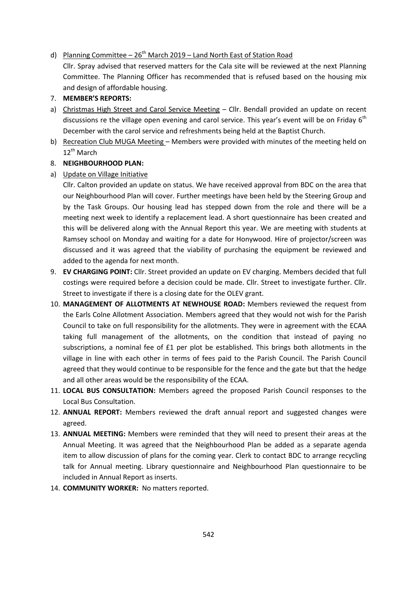#### d) Planning Committee  $-26^{th}$  March 2019 – Land North East of Station Road

Cllr. Spray advised that reserved matters for the Cala site will be reviewed at the next Planning Committee. The Planning Officer has recommended that is refused based on the housing mix and design of affordable housing.

#### 7. **MEMBER'S REPORTS:**

- a) Christmas High Street and Carol Service Meeting Cllr. Bendall provided an update on recent discussions re the village open evening and carol service. This year's event will be on Friday  $6<sup>th</sup>$ December with the carol service and refreshments being held at the Baptist Church.
- b) Recreation Club MUGA Meeting Members were provided with minutes of the meeting held on 12<sup>th</sup> March

#### 8. **NEIGHBOURHOOD PLAN:**

a) Update on Village Initiative

Cllr. Calton provided an update on status. We have received approval from BDC on the area that our Neighbourhood Plan will cover. Further meetings have been held by the Steering Group and by the Task Groups. Our housing lead has stepped down from the role and there will be a meeting next week to identify a replacement lead. A short questionnaire has been created and this will be delivered along with the Annual Report this year. We are meeting with students at Ramsey school on Monday and waiting for a date for Honywood. Hire of projector/screen was discussed and it was agreed that the viability of purchasing the equipment be reviewed and added to the agenda for next month.

- 9. **EV CHARGING POINT:** Cllr. Street provided an update on EV charging. Members decided that full costings were required before a decision could be made. Cllr. Street to investigate further. Cllr. Street to investigate if there is a closing date for the OLEV grant.
- 10. **MANAGEMENT OF ALLOTMENTS AT NEWHOUSE ROAD:** Members reviewed the request from the Earls Colne Allotment Association. Members agreed that they would not wish for the Parish Council to take on full responsibility for the allotments. They were in agreement with the ECAA taking full management of the allotments, on the condition that instead of paying no subscriptions, a nominal fee of £1 per plot be established. This brings both allotments in the village in line with each other in terms of fees paid to the Parish Council. The Parish Council agreed that they would continue to be responsible for the fence and the gate but that the hedge and all other areas would be the responsibility of the ECAA.
- 11. **LOCAL BUS CONSULTATION:** Members agreed the proposed Parish Council responses to the Local Bus Consultation.
- 12. **ANNUAL REPORT:** Members reviewed the draft annual report and suggested changes were agreed.
- 13. **ANNUAL MEETING:** Members were reminded that they will need to present their areas at the Annual Meeting. It was agreed that the Neighbourhood Plan be added as a separate agenda item to allow discussion of plans for the coming year. Clerk to contact BDC to arrange recycling talk for Annual meeting. Library questionnaire and Neighbourhood Plan questionnaire to be included in Annual Report as inserts.
- 14. **COMMUNITY WORKER:** No matters reported.